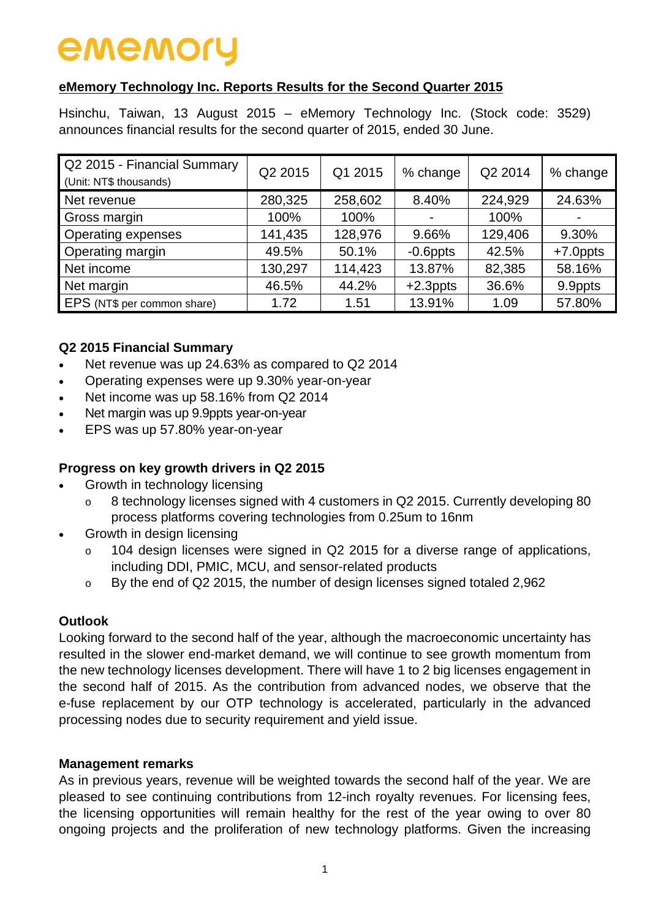# **eMemory Technology Inc. Reports Results for the Second Quarter 2015**

Hsinchu, Taiwan, 13 August 2015 – eMemory Technology Inc. (Stock code: 3529) announces financial results for the second quarter of 2015, ended 30 June.

| Q2 2015 - Financial Summary<br>(Unit: NT\$ thousands) | Q2 2015 | Q1 2015 | % change    | Q2 2014 | % change    |
|-------------------------------------------------------|---------|---------|-------------|---------|-------------|
| Net revenue                                           | 280,325 | 258,602 | 8.40%       | 224,929 | 24.63%      |
| Gross margin                                          | 100%    | 100%    |             | 100%    |             |
| <b>Operating expenses</b>                             | 141,435 | 128,976 | 9.66%       | 129,406 | 9.30%       |
| <b>Operating margin</b>                               | 49.5%   | 50.1%   | $-0.6$ ppts | 42.5%   | $+7.0$ ppts |
| Net income                                            | 130,297 | 114,423 | 13.87%      | 82,385  | 58.16%      |
| Net margin                                            | 46.5%   | 44.2%   | $+2.3$ ppts | 36.6%   | 9.9ppts     |
| EPS (NT\$ per common share)                           | 1.72    | 1.51    | 13.91%      | 1.09    | 57.80%      |

# **Q2 2015 Financial Summary**

- Net revenue was up 24.63% as compared to Q2 2014
- Operating expenses were up 9.30% year-on-year
- Net income was up 58.16% from Q2 2014
- Net margin was up 9.9ppts year-on-year
- EPS was up 57.80% year-on-year

# **Progress on key growth drivers in Q2 2015**

- Growth in technology licensing
	- o 8 technology licenses signed with 4 customers in Q2 2015. Currently developing 80 process platforms covering technologies from 0.25um to 16nm
- Growth in design licensing
	- 104 design licenses were signed in  $Q2$  2015 for a diverse range of applications, including DDI, PMIC, MCU, and sensor-related products
	- o By the end of Q2 2015, the number of design licenses signed totaled 2,962

# **Outlook**

Looking forward to the second half of the year, although the macroeconomic uncertainty has resulted in the slower end-market demand, we will continue to see growth momentum from the new technology licenses development. There will have 1 to 2 big licenses engagement in the second half of 2015. As the contribution from advanced nodes, we observe that the e-fuse replacement by our OTP technology is accelerated, particularly in the advanced processing nodes due to security requirement and yield issue.

#### **Management remarks**

As in previous years, revenue will be weighted towards the second half of the year. We are pleased to see continuing contributions from 12-inch royalty revenues. For licensing fees, the licensing opportunities will remain healthy for the rest of the year owing to over 80 ongoing projects and the proliferation of new technology platforms. Given the increasing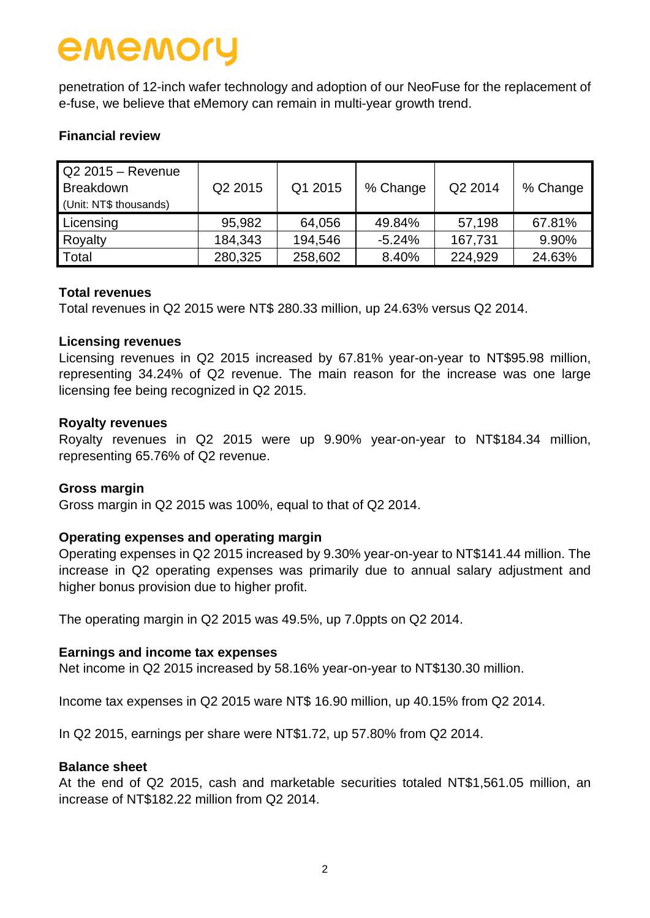penetration of 12-inch wafer technology and adoption of our NeoFuse for the replacement of e-fuse, we believe that eMemory can remain in multi-year growth trend.

### **Financial review**

| $Q2 2015 -$ Revenue<br><b>Breakdown</b><br>(Unit: NT\$ thousands) | Q2 2015 | Q1 2015 | % Change | Q2 2014 | % Change |
|-------------------------------------------------------------------|---------|---------|----------|---------|----------|
| Licensing                                                         | 95,982  | 64,056  | 49.84%   | 57,198  | 67.81%   |
| Royalty                                                           | 184,343 | 194,546 | $-5.24%$ | 167,731 | 9.90%    |
| Total                                                             | 280,325 | 258,602 | 8.40%    | 224,929 | 24.63%   |

#### **Total revenues**

Total revenues in Q2 2015 were NT\$ 280.33 million, up 24.63% versus Q2 2014.

#### **Licensing revenues**

Licensing revenues in Q2 2015 increased by 67.81% year-on-year to NT\$95.98 million, representing 34.24% of Q2 revenue. The main reason for the increase was one large licensing fee being recognized in Q2 2015.

#### **Royalty revenues**

Royalty revenues in Q2 2015 were up 9.90% year-on-year to NT\$184.34 million, representing 65.76% of Q2 revenue.

#### **Gross margin**

Gross margin in Q2 2015 was 100%, equal to that of Q2 2014.

#### **Operating expenses and operating margin**

Operating expenses in Q2 2015 increased by 9.30% year-on-year to NT\$141.44 million. The increase in Q2 operating expenses was primarily due to annual salary adjustment and higher bonus provision due to higher profit.

The operating margin in Q2 2015 was 49.5%, up 7.0ppts on Q2 2014.

#### **Earnings and income tax expenses**

Net income in Q2 2015 increased by 58.16% year-on-year to NT\$130.30 million.

Income tax expenses in Q2 2015 ware NT\$ 16.90 million, up 40.15% from Q2 2014.

In Q2 2015, earnings per share were NT\$1.72, up 57.80% from Q2 2014.

#### **Balance sheet**

At the end of Q2 2015, cash and marketable securities totaled NT\$1,561.05 million, an increase of NT\$182.22 million from Q2 2014.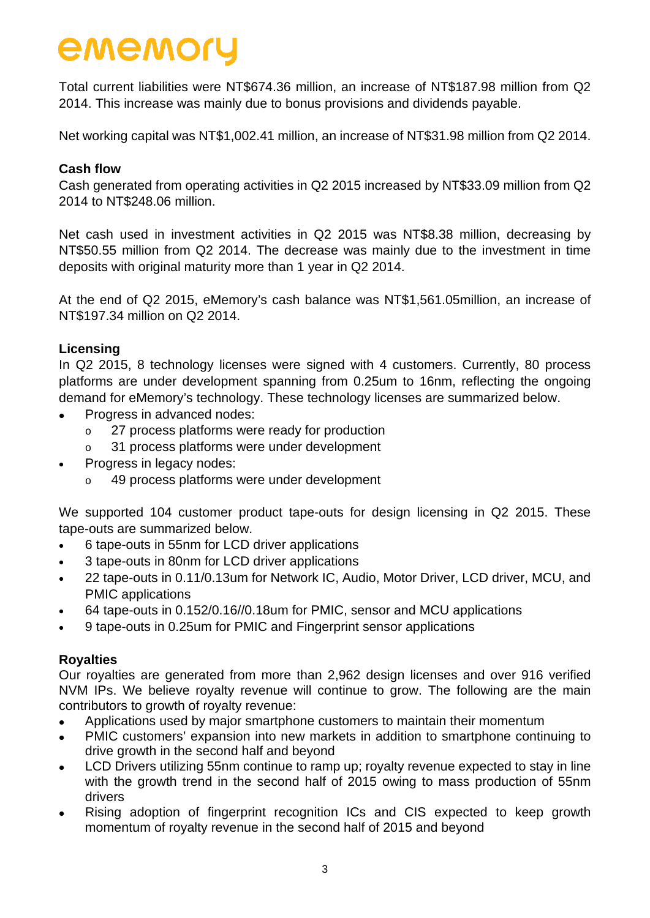Total current liabilities were NT\$674.36 million, an increase of NT\$187.98 million from Q2 2014. This increase was mainly due to bonus provisions and dividends payable.

Net working capital was NT\$1,002.41 million, an increase of NT\$31.98 million from Q2 2014.

### **Cash flow**

Cash generated from operating activities in Q2 2015 increased by NT\$33.09 million from Q2 2014 to NT\$248.06 million.

Net cash used in investment activities in Q2 2015 was NT\$8.38 million, decreasing by NT\$50.55 million from Q2 2014. The decrease was mainly due to the investment in time deposits with original maturity more than 1 year in Q2 2014.

At the end of Q2 2015, eMemory's cash balance was NT\$1,561.05million, an increase of NT\$197.34 million on Q2 2014.

#### **Licensing**

In Q2 2015, 8 technology licenses were signed with 4 customers. Currently, 80 process platforms are under development spanning from 0.25um to 16nm, reflecting the ongoing demand for eMemory's technology. These technology licenses are summarized below.

- Progress in advanced nodes:
	- o 27 process platforms were ready for production
	- o 31 process platforms were under development
- Progress in legacy nodes:
	- 49 process platforms were under development

We supported 104 customer product tape-outs for design licensing in Q2 2015. These tape-outs are summarized below.

- 6 tape-outs in 55nm for LCD driver applications
- 3 tape-outs in 80nm for LCD driver applications
- 22 tape-outs in 0.11/0.13um for Network IC, Audio, Motor Driver, LCD driver, MCU, and PMIC applications
- 64 tape-outs in 0.152/0.16//0.18um for PMIC, sensor and MCU applications
- 9 tape-outs in 0.25um for PMIC and Fingerprint sensor applications

#### **Royalties**

Our royalties are generated from more than 2,962 design licenses and over 916 verified NVM IPs. We believe royalty revenue will continue to grow. The following are the main contributors to growth of royalty revenue:

- Applications used by major smartphone customers to maintain their momentum
- PMIC customers' expansion into new markets in addition to smartphone continuing to drive growth in the second half and beyond
- LCD Drivers utilizing 55nm continue to ramp up; royalty revenue expected to stay in line with the growth trend in the second half of 2015 owing to mass production of 55nm drivers
- Rising adoption of fingerprint recognition ICs and CIS expected to keep growth momentum of royalty revenue in the second half of 2015 and beyond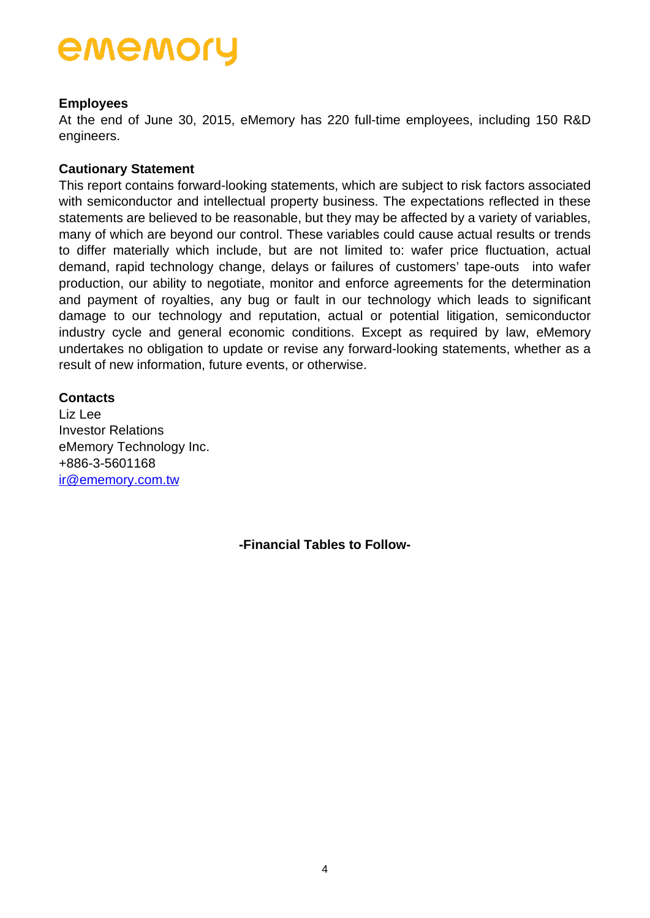### **Employees**

At the end of June 30, 2015, eMemory has 220 full-time employees, including 150 R&D engineers.

### **Cautionary Statement**

This report contains forward-looking statements, which are subject to risk factors associated with semiconductor and intellectual property business. The expectations reflected in these statements are believed to be reasonable, but they may be affected by a variety of variables, many of which are beyond our control. These variables could cause actual results or trends to differ materially which include, but are not limited to: wafer price fluctuation, actual demand, rapid technology change, delays or failures of customers' tape-outs into wafer production, our ability to negotiate, monitor and enforce agreements for the determination and payment of royalties, any bug or fault in our technology which leads to significant damage to our technology and reputation, actual or potential litigation, semiconductor industry cycle and general economic conditions. Except as required by law, eMemory undertakes no obligation to update or revise any forward-looking statements, whether as a result of new information, future events, or otherwise.

#### **Contacts**

Liz Lee Investor Relations eMemory Technology Inc. +886-3-5601168 [ir@ememory.com.tw](mailto:ir@ememory.com.tw)

**-Financial Tables to Follow-**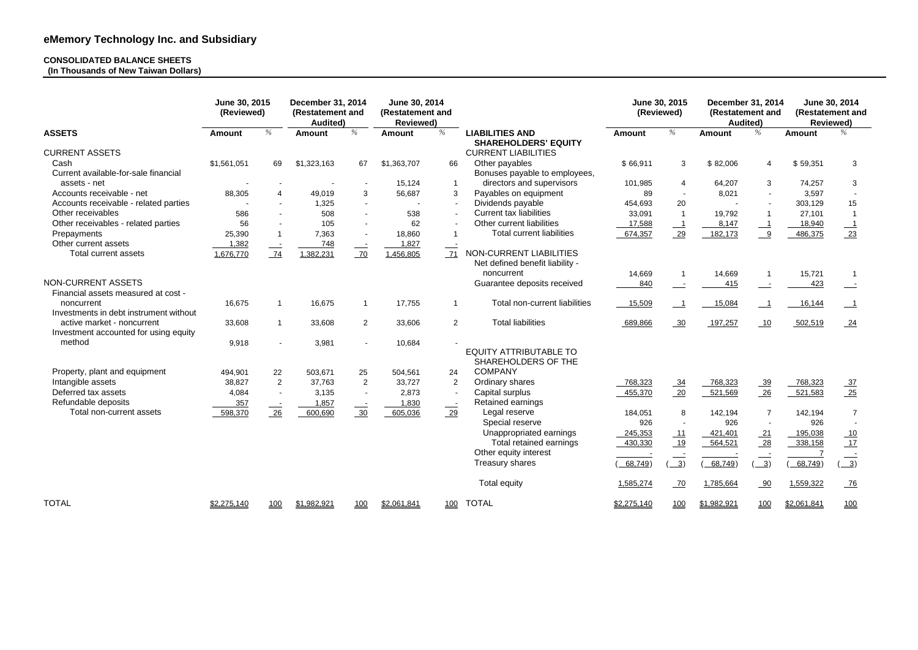### **CONSOLIDATED BALANCE SHEETS (In Thousands of New Taiwan Dollars)**

|                                                                     | June 30, 2015<br>(Reviewed) |     | <b>December 31, 2014</b><br>(Restatement and<br><b>Audited</b> ) |                | June 30, 2014<br>(Restatement and<br><b>Reviewed)</b> |                |                                                            |               | June 30, 2015<br>(Reviewed) | <b>December 31, 2014</b><br>(Restatement and<br><b>Audited</b> ) |                |                    | June 30, 2014<br>(Restatement and<br><b>Reviewed)</b> |
|---------------------------------------------------------------------|-----------------------------|-----|------------------------------------------------------------------|----------------|-------------------------------------------------------|----------------|------------------------------------------------------------|---------------|-----------------------------|------------------------------------------------------------------|----------------|--------------------|-------------------------------------------------------|
| <b>ASSETS</b>                                                       | <b>Amount</b>               | %   | <b>Amount</b>                                                    | %              | <b>Amount</b>                                         | %              | <b>LIABILITIES AND</b><br><b>SHAREHOLDERS' EQUITY</b>      | <b>Amount</b> | %                           | <b>Amount</b>                                                    | $\%$           | <b>Amount</b>      | %                                                     |
| <b>CURRENT ASSETS</b>                                               |                             |     |                                                                  |                |                                                       |                | <b>CURRENT LIABILITIES</b>                                 |               |                             |                                                                  |                |                    |                                                       |
| Cash                                                                | \$1,561,051                 | 69  | \$1,323,163                                                      | 67             | \$1,363,707                                           | 66             | Other payables                                             | \$66,911      | 3                           | \$82,006                                                         | 4              | \$59,351           | 3                                                     |
| Current available-for-sale financial                                |                             |     |                                                                  |                |                                                       |                | Bonuses payable to employees,                              |               |                             |                                                                  |                |                    |                                                       |
| assets - net                                                        |                             |     |                                                                  |                | 15,124                                                |                | directors and supervisors                                  | 101,985       | 4                           | 64,207                                                           | 3              | 74,257             | 3                                                     |
| Accounts receivable - net                                           | 88,305                      |     | 49,019                                                           | 3              | 56,687                                                | 3              | Payables on equipment                                      | 89            |                             | 8,021                                                            |                | 3,597              |                                                       |
| Accounts receivable - related parties                               |                             |     | 1,325                                                            |                |                                                       |                | Dividends payable                                          | 454,693       | 20                          |                                                                  |                | 303,129            | 15                                                    |
| Other receivables                                                   | 586                         |     | 508                                                              |                | 538                                                   |                | <b>Current tax liabilities</b>                             | 33,091        | $\overline{1}$              | 19,792                                                           |                | 27,101             |                                                       |
| Other receivables - related parties                                 | 56                          |     | 105                                                              |                | 62                                                    |                | Other current liabilities                                  | 17,588        | $\overline{\phantom{0}}$ 1  | 8,147                                                            |                | 18,940             | $\overline{\phantom{0}1}$                             |
| Prepayments                                                         | 25,390                      |     | 7,363                                                            |                | 18,860                                                |                | <b>Total current liabilities</b>                           | 674,357       | 29                          | 182,173                                                          | 9              | 486,375            | 23                                                    |
| Other current assets                                                | 1,382                       |     | 748                                                              | $\sim$         | 1,827                                                 |                |                                                            |               |                             |                                                                  |                |                    |                                                       |
| Total current assets                                                | 1,676,770                   | 74  | 1,382,231                                                        | 70             | 1,456,805                                             | 71             | NON-CURRENT LIABILITIES<br>Net defined benefit liability - |               |                             |                                                                  |                |                    |                                                       |
|                                                                     |                             |     |                                                                  |                |                                                       |                | noncurrent                                                 | 14,669        | - 1                         | 14,669                                                           |                | 15,721             |                                                       |
| NON-CURRENT ASSETS                                                  |                             |     |                                                                  |                |                                                       |                | Guarantee deposits received                                | 840           |                             | 415                                                              |                | 423                |                                                       |
| Financial assets measured at cost -                                 |                             |     |                                                                  |                |                                                       |                |                                                            |               |                             |                                                                  |                |                    |                                                       |
| noncurrent<br>Investments in debt instrument without                | 16,675                      |     | 16,675                                                           |                | 17,755                                                |                | Total non-current liabilities                              | 15,509        | $\overline{\phantom{1}}$    | 15,084                                                           |                | 16,144             |                                                       |
| active market - noncurrent<br>Investment accounted for using equity | 33,608                      |     | 33,608                                                           | 2              | 33,606                                                | $\overline{2}$ | <b>Total liabilities</b>                                   | 689,866       | $\frac{30}{2}$              | 197,257                                                          | 10             | 502,519            | 24                                                    |
| method                                                              | 9,918                       |     | 3,981                                                            |                | 10,684                                                |                |                                                            |               |                             |                                                                  |                |                    |                                                       |
|                                                                     |                             |     |                                                                  |                |                                                       |                | <b>EQUITY ATTRIBUTABLE TO</b>                              |               |                             |                                                                  |                |                    |                                                       |
|                                                                     |                             |     |                                                                  |                |                                                       |                | SHAREHOLDERS OF THE                                        |               |                             |                                                                  |                |                    |                                                       |
| Property, plant and equipment                                       | 494,901                     | 22  | 503,671                                                          | 25             | 504,561                                               | 24             | <b>COMPANY</b>                                             |               |                             |                                                                  |                |                    |                                                       |
| Intangible assets                                                   | 38,827                      | 2   | 37,763                                                           | $\overline{2}$ | 33,727                                                | $\overline{2}$ | Ordinary shares                                            | 768,323       | $\frac{34}{1}$              | 768,323                                                          | $\frac{39}{2}$ | 768,323            | $\frac{37}{2}$                                        |
| Deferred tax assets                                                 | 4,084                       |     | 3,135                                                            |                | 2,873                                                 |                | Capital surplus                                            | 455,370       | 20                          | 521,569                                                          | 26             | 521,583            | 25                                                    |
| Refundable deposits                                                 | 357                         |     | 1,857                                                            |                | 1,830                                                 |                | Retained earnings                                          |               |                             |                                                                  |                |                    |                                                       |
| Total non-current assets                                            | 598,370                     | 26  | 600,690                                                          | $\frac{30}{2}$ | 605,036                                               | $\frac{29}{2}$ | Legal reserve                                              | 184,051       | 8                           | 142,194                                                          | 7              | 142,194            | $\overline{7}$                                        |
|                                                                     |                             |     |                                                                  |                |                                                       |                | Special reserve                                            | 926           |                             | 926                                                              |                | 926                |                                                       |
|                                                                     |                             |     |                                                                  |                |                                                       |                | Unappropriated earnings                                    | 245,353       | 11                          | 421,401                                                          | 21             | 195,038            | 10                                                    |
|                                                                     |                             |     |                                                                  |                |                                                       |                | Total retained earnings                                    | 430,330       | 19                          | 564,521                                                          | 28             | 338,158            | <u>_17</u>                                            |
|                                                                     |                             |     |                                                                  |                |                                                       |                | Other equity interest                                      |               |                             |                                                                  |                |                    |                                                       |
|                                                                     |                             |     |                                                                  |                |                                                       |                | Treasury shares                                            | 68,749)       | $\frac{3}{2}$               | 68,749)                                                          | $\frac{3}{2}$  | 68,749)            | $\frac{3}{2}$                                         |
|                                                                     |                             |     |                                                                  |                |                                                       |                | <b>Total equity</b>                                        | 1,585,274     | 70                          | 1,785,664                                                        | $\frac{90}{1}$ | 1,559,322          | $-76$                                                 |
| <b>TOTAL</b>                                                        | \$2,275,140                 | 100 | \$1,982,921                                                      | 100            | \$2,061,841                                           | 100            | <b>TOTAL</b>                                               | \$2,275,140   | 100                         | \$1,982,921                                                      | 100            | <u>\$2,061,841</u> | 100                                                   |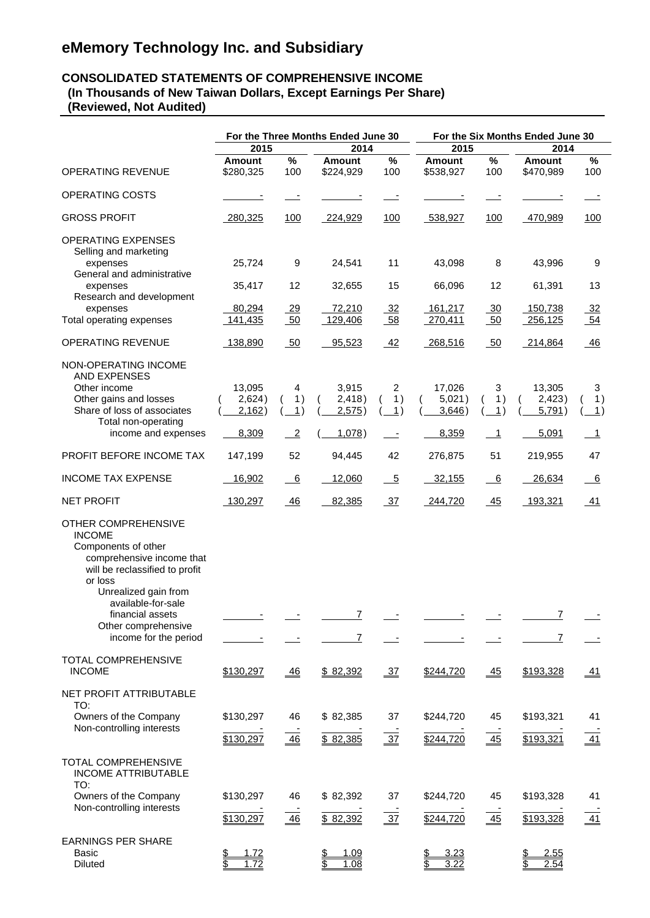# **eMemory Technology Inc. and Subsidiary**

#### **CONSOLIDATED STATEMENTS OF COMPREHENSIVE INCOME (In Thousands of New Taiwan Dollars, Except Earnings Per Share) (Reviewed, Not Audited)**

|                                                                                                                                                                                                                                                         |                                              |                            | For the Three Months Ended June 30          |                          | For the Six Months Ended June 30 |                            |                            |                          |  |  |  |
|---------------------------------------------------------------------------------------------------------------------------------------------------------------------------------------------------------------------------------------------------------|----------------------------------------------|----------------------------|---------------------------------------------|--------------------------|----------------------------------|----------------------------|----------------------------|--------------------------|--|--|--|
|                                                                                                                                                                                                                                                         | 2015                                         |                            | 2014                                        |                          | 2015                             |                            | 2014                       |                          |  |  |  |
| OPERATING REVENUE                                                                                                                                                                                                                                       | <b>Amount</b><br>\$280,325                   | $\%$<br>100                | <b>Amount</b><br>\$224,929                  | $\%$<br>100              | <b>Amount</b><br>\$538,927       | %<br>100                   | <b>Amount</b><br>\$470,989 | $\%$<br>100              |  |  |  |
| OPERATING COSTS                                                                                                                                                                                                                                         |                                              |                            |                                             |                          |                                  |                            |                            |                          |  |  |  |
| <b>GROSS PROFIT</b>                                                                                                                                                                                                                                     | 280,325                                      | <u>100</u>                 | 224,929                                     | 100                      | 538,927                          | <u>100</u>                 | 470,989                    | 100                      |  |  |  |
| <b>OPERATING EXPENSES</b><br>Selling and marketing<br>expenses                                                                                                                                                                                          | 25,724                                       | 9                          | 24,541                                      | 11                       | 43,098                           | 8                          | 43,996                     | 9                        |  |  |  |
| General and administrative<br>expenses                                                                                                                                                                                                                  | 35,417                                       | 12                         | 32,655                                      | 15                       | 66,096                           | 12                         | 61,391                     | 13                       |  |  |  |
| Research and development<br>expenses<br>Total operating expenses                                                                                                                                                                                        | 80,294<br>141,435                            | $\frac{29}{1}$<br>50       | 72,210<br>129,406                           | $\frac{32}{2}$<br>58     | 161,217<br>270,411               | $\frac{30}{2}$<br>50       | 150,738<br>256,125         | $\frac{32}{2}$<br>$-54$  |  |  |  |
| <b>OPERATING REVENUE</b>                                                                                                                                                                                                                                | 138,890                                      | 50                         | 95,523                                      | 42                       | 268,516                          | 50                         | 214,864                    | 46                       |  |  |  |
| NON-OPERATING INCOME                                                                                                                                                                                                                                    |                                              |                            |                                             |                          |                                  |                            |                            |                          |  |  |  |
| <b>AND EXPENSES</b><br>Other income<br>Other gains and losses<br>Share of loss of associates                                                                                                                                                            | 13,095<br>2,624)<br>2,162)                   | 4<br>1)<br>1)              | 3,915<br>2,418)<br>2,575)                   | 2<br>1)<br>1)            | 17,026<br>5,021)<br>3,646)       | 3<br>1)<br>1)              | 13,305<br>2,423)<br>5,791) | 3<br>1)<br>$\mathbf{1}$  |  |  |  |
| Total non-operating<br>income and expenses                                                                                                                                                                                                              | 8,309                                        | $\overline{\phantom{0}}^2$ | 1,078)                                      | $\overline{\phantom{a}}$ | 8,359                            | $\overline{\phantom{0}}$ 1 | 5,091                      | $\overline{\phantom{0}}$ |  |  |  |
| PROFIT BEFORE INCOME TAX                                                                                                                                                                                                                                | 147,199                                      | 52                         | 94,445                                      | 42                       | 276,875                          | 51                         | 219,955                    | 47                       |  |  |  |
| <b>INCOME TAX EXPENSE</b>                                                                                                                                                                                                                               | 16,902                                       | $\overline{\phantom{0}}^6$ | 12,060                                      | $\overline{-5}$          | 32,155                           | $\underline{6}$            | 26,634                     | 6                        |  |  |  |
| <b>NET PROFIT</b>                                                                                                                                                                                                                                       | 130,297                                      | 46                         | 82,385                                      | $\frac{37}{2}$           | 244,720                          | 45                         | 193,321                    | <u>_41</u>               |  |  |  |
| OTHER COMPREHENSIVE<br><b>INCOME</b><br>Components of other<br>comprehensive income that<br>will be reclassified to profit<br>or loss<br>Unrealized gain from<br>available-for-sale<br>financial assets<br>Other comprehensive<br>income for the period |                                              |                            | 7<br>7                                      |                          |                                  |                            | $\overline{I}$<br>7        |                          |  |  |  |
| TOTAL COMPREHENSIVE<br><b>INCOME</b>                                                                                                                                                                                                                    | \$130,297                                    | 46                         | \$82,392                                    | $-37$                    | \$244,720                        | $\overline{45}$            | \$193,328                  | <u>41</u>                |  |  |  |
| NET PROFIT ATTRIBUTABLE<br>TO:<br>Owners of the Company<br>Non-controlling interests                                                                                                                                                                    | \$130,297<br>\$130,297                       | 46<br>46                   | \$82,385<br>\$82,385                        | 37<br>$\frac{37}{2}$     | \$244,720<br>\$244,720           | 45<br>45                   | \$193,321<br>\$193,321     | 41<br>$\overline{41}$    |  |  |  |
| TOTAL COMPREHENSIVE<br><b>INCOME ATTRIBUTABLE</b><br>TO:<br>Owners of the Company<br>Non-controlling interests                                                                                                                                          | \$130,297                                    | 46                         | \$82,392                                    | 37                       | \$244,720                        | 45                         | \$193,328                  | 41                       |  |  |  |
| <b>EARNINGS PER SHARE</b><br>Basic<br>Diluted                                                                                                                                                                                                           | \$130,297<br><u>1.72</u><br>\$<br>1.72<br>\$ | 46                         | \$82,392<br>1.09<br><u>\$</u><br>1.08<br>\$ | $\frac{37}{2}$           | \$244,720<br>3.23<br>\$<br>3.22  | $-45$                      | \$193,328<br>2.55<br>2.54  | $-41$                    |  |  |  |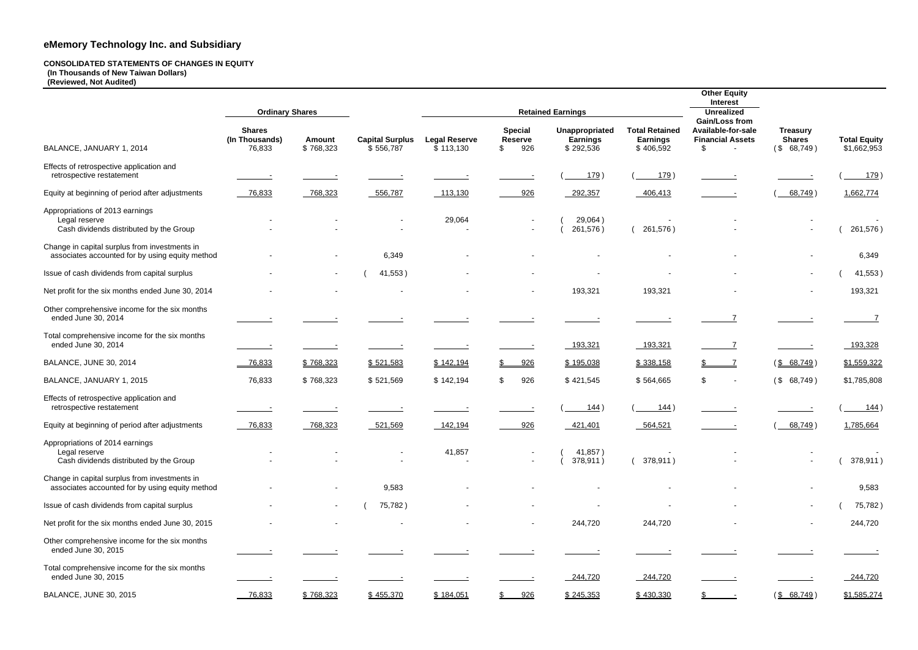# **eMemory Technology Inc. and Subsidiary**

#### **CONSOLIDATED STATEMENTS OF CHANGES IN EQUITY (In Thousands of New Taiwan Dollars)**

**(Reviewed, Not Audited)**

| <b>Other Equity</b><br>Interest<br><b>Unrealized</b><br><b>Gain/Loss from</b><br>Available-for-sale<br><b>Financial Assets</b><br>\$ | <b>Treasury</b><br><b>Shares</b><br>(\$68,749) | <b>Total Equity</b><br>\$1,662,953 |
|--------------------------------------------------------------------------------------------------------------------------------------|------------------------------------------------|------------------------------------|
|                                                                                                                                      |                                                |                                    |
|                                                                                                                                      |                                                | $(\underline{\hspace{1cm}179})$    |
|                                                                                                                                      | $($ 68,749)                                    | 1,662,774                          |
|                                                                                                                                      |                                                |                                    |
|                                                                                                                                      |                                                | 261,576)<br>$\left($               |
|                                                                                                                                      |                                                | 6,349                              |
|                                                                                                                                      |                                                | (41,553)                           |
|                                                                                                                                      |                                                | 193,321                            |
| 7                                                                                                                                    |                                                | 7                                  |
| 7                                                                                                                                    |                                                | <u>193,328</u>                     |
| \$<br>7                                                                                                                              | $(\frac{$8, 68, 749}{$                         | \$1,559,322                        |
| \$                                                                                                                                   | $($ \$<br>68,749)                              | \$1,785,808                        |
|                                                                                                                                      |                                                | $($ 144)                           |
|                                                                                                                                      | $68,749$ )                                     | 1,785,664                          |
|                                                                                                                                      |                                                |                                    |
|                                                                                                                                      |                                                | 378,911)<br>$\overline{(\ }$       |
|                                                                                                                                      |                                                | 9,583                              |
|                                                                                                                                      |                                                | 75,782)<br>$\overline{(}$          |
|                                                                                                                                      |                                                | 244,720                            |
|                                                                                                                                      |                                                |                                    |
|                                                                                                                                      |                                                | 244,720                            |
| \$                                                                                                                                   | $\frac{1}{2}$<br>68,749)                       | \$1,585,274                        |

|                                                                                                  | <b>Ordinary Shares</b>                    |                            |                                     |                                   |                                                          | <b>Retained Earnings</b>                       | interest<br><b>Unrealized</b><br><b>Gain/Loss from</b> |                                                      |                                                |                                    |
|--------------------------------------------------------------------------------------------------|-------------------------------------------|----------------------------|-------------------------------------|-----------------------------------|----------------------------------------------------------|------------------------------------------------|--------------------------------------------------------|------------------------------------------------------|------------------------------------------------|------------------------------------|
| BALANCE, JANUARY 1, 2014                                                                         | <b>Shares</b><br>(In Thousands)<br>76,833 | <b>Amount</b><br>\$768,323 | <b>Capital Surplus</b><br>\$556,787 | <b>Legal Reserve</b><br>\$113,130 | <b>Special</b><br><b>Reserve</b><br>926<br>$\mathsf{\$}$ | Unappropriated<br><b>Earnings</b><br>\$292,536 | <b>Total Retained</b><br><b>Earnings</b><br>\$406,592  | Available-for-sale<br><b>Financial Assets</b><br>\$. | <b>Treasury</b><br><b>Shares</b><br>(\$68,749) | <b>Total Equity</b><br>\$1,662,953 |
| Effects of retrospective application and<br>retrospective restatement                            |                                           |                            |                                     |                                   |                                                          | 179)                                           | 179)                                                   |                                                      |                                                | 179                                |
| Equity at beginning of period after adjustments                                                  | 76,833                                    | 768,323                    | 556,787                             | 113,130                           | 926                                                      | 292,357                                        | 406,413                                                |                                                      | 68,749)                                        | 1,662,774                          |
| Appropriations of 2013 earnings<br>Legal reserve<br>Cash dividends distributed by the Group      |                                           |                            |                                     | 29,064                            |                                                          | 29,064)<br>261,576)                            | 261,576)                                               |                                                      |                                                | 261,576)                           |
| Change in capital surplus from investments in<br>associates accounted for by using equity method |                                           |                            | 6,349                               |                                   |                                                          |                                                |                                                        |                                                      |                                                | 6,349                              |
| Issue of cash dividends from capital surplus                                                     |                                           | $\sim$                     | 41,553)                             |                                   |                                                          |                                                |                                                        |                                                      |                                                | 41,553)                            |
| Net profit for the six months ended June 30, 2014                                                |                                           |                            |                                     |                                   | $\blacksquare$                                           | 193,321                                        | 193,321                                                |                                                      |                                                | 193,321                            |
| Other comprehensive income for the six months<br>ended June 30, 2014                             |                                           |                            |                                     |                                   |                                                          |                                                |                                                        |                                                      |                                                |                                    |
| Total comprehensive income for the six months<br>ended June 30, 2014                             |                                           |                            |                                     |                                   |                                                          | 193,321                                        | 193,321                                                |                                                      |                                                | 193,328                            |
| <b>BALANCE, JUNE 30, 2014</b>                                                                    | 76,833                                    | \$768,323                  | \$521,583                           | \$142,194                         | 926<br>S.                                                | \$195,038                                      | \$338,158                                              |                                                      | $(\frac{$868,749}{)$                           | \$1,559,322                        |
| BALANCE, JANUARY 1, 2015                                                                         | 76,833                                    | \$768,323                  | \$521,569                           | \$142,194                         | 926<br>\$                                                | \$421,545                                      | \$564,665                                              | \$<br>$\overline{\phantom{a}}$                       | (\$68,749)                                     | \$1,785,808                        |
| Effects of retrospective application and<br>retrospective restatement                            |                                           |                            |                                     |                                   |                                                          | 144)                                           | 144)                                                   |                                                      |                                                | <u>144</u>                         |
| Equity at beginning of period after adjustments                                                  | 76,833                                    | 768,323                    | 521,569                             | 142,194                           | 926                                                      | 421,401                                        | 564,521                                                |                                                      | 68,749)                                        | 1,785,664                          |
| Appropriations of 2014 earnings<br>Legal reserve<br>Cash dividends distributed by the Group      |                                           |                            | $\sim$                              | 41,857                            |                                                          | 41,857)<br>378,911)                            | 378,911)                                               |                                                      | $\blacksquare$                                 | 378,911)                           |
| Change in capital surplus from investments in<br>associates accounted for by using equity method |                                           |                            | 9,583                               |                                   |                                                          |                                                |                                                        |                                                      |                                                | 9,583                              |
| Issue of cash dividends from capital surplus                                                     |                                           | $\blacksquare$             | 75,782)                             |                                   |                                                          |                                                |                                                        |                                                      | $\overline{\phantom{a}}$                       | 75,782)                            |
| Net profit for the six months ended June 30, 2015                                                |                                           |                            |                                     |                                   | $\overline{\phantom{a}}$                                 | 244,720                                        | 244,720                                                |                                                      |                                                | 244,720                            |
| Other comprehensive income for the six months<br>ended June 30, 2015                             |                                           |                            |                                     |                                   |                                                          |                                                |                                                        |                                                      |                                                |                                    |
| Total comprehensive income for the six months<br>ended June 30, 2015                             |                                           |                            |                                     |                                   |                                                          | 244,720                                        | 244,720                                                |                                                      |                                                | 244,720                            |
| <b>BALANCE, JUNE 30, 2015</b>                                                                    | 76,833                                    | \$768,323                  | \$455,370                           | \$184,051                         | 926<br>$\frac{1}{2}$                                     | \$245,353                                      | \$430,330                                              |                                                      | $(\frac{$868,749}{)$                           | \$1,585,274                        |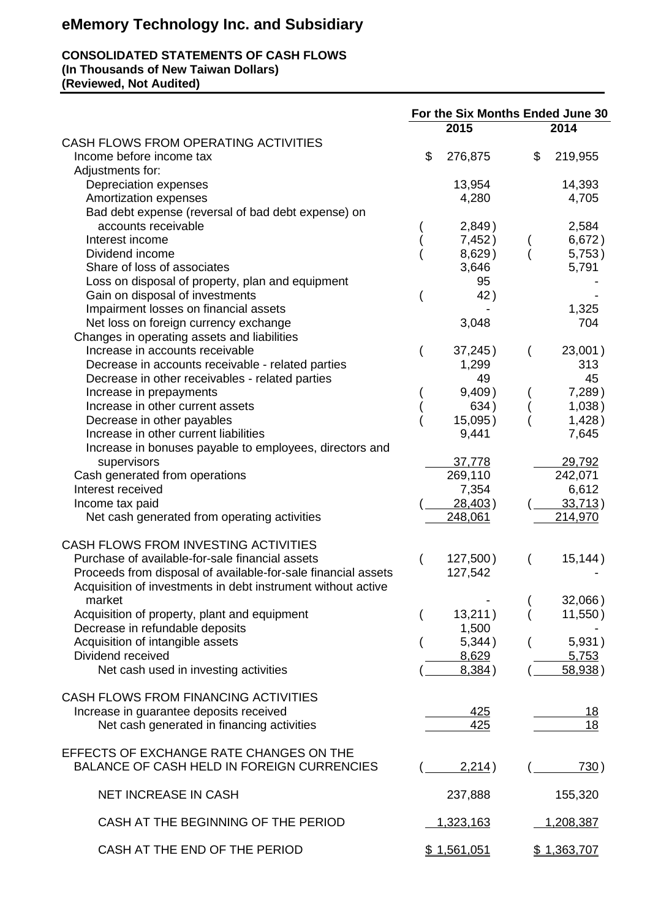# **eMemory Technology Inc. and Subsidiary**

#### **CONSOLIDATED STATEMENTS OF CASH FLOWS (In Thousands of New Taiwan Dollars) (Reviewed, Not Audited)**

**For the Six Months Ended June 30 2015 2014** CASH FLOWS FROM OPERATING ACTIVITIES Income before income tax  $$ 276,875$   $$ 219,955$ Adjustments for: Depreciation expenses<br>
Amortization expenses<br>
2,705 14,280 14,705 Amortization expenses Bad debt expense (reversal of bad debt expense) on accounts receivable  $(2,849)$  2,584<br>terest income  $(7,452)$   $(6,672)$ Interest income (7,452)<br>Dividend income (8,629) Dividend income (and income (bividend income (bividend income (bividend income (bividend income (bividend income  $($   $8,629)$  (bividend income 5,753) Share of loss of associates Loss on disposal of property, plan and equipment<br>
Gain on disposal of investments
(42) Gain on disposal of investments ( 42 )  $\sim$  42 ( Impairment losses on financial assets<br>
Net loss on foreign currency exchange  $3.048$  1,325 Net loss on foreign currency exchange 3,048 Changes in operating assets and liabilities Increase in accounts receivable<br>Decrease in accounts receivable - related parties  $(37,245)$   $(23,001)$ <br>1,299  $(313)$ Decrease in accounts receivable - related parties 1,299 1,299 313<br>Decrease in other receivables - related parties 19 19 19 145 Decrease in other receivables - related parties and the metal of the metal of the metal of the metal of the metal of the metal of the metal of the metal of the metal of the metal of the metal of the metal of the metal of t Increase in prepayments ( Increase in other current assets (634) (1,038) Decrease in other payables (15,095) (1,428) Increase in other current liabilities 9,441 7,645 Increase in bonuses payable to employees, directors and

| morcaso in borrascs payable to chiployees, allegtors and      |                 |          |
|---------------------------------------------------------------|-----------------|----------|
| supervisors                                                   | 37,778          | 29,792   |
| Cash generated from operations                                | 269,110         | 242,071  |
| Interest received                                             | 7,354           | 6,612    |
| Income tax paid                                               | <u>28,403</u> ) | 33,713)  |
| Net cash generated from operating activities                  | 248,061         | 214,970  |
| CASH FLOWS FROM INVESTING ACTIVITIES                          |                 |          |
| Purchase of available-for-sale financial assets               | 127,500)        | 15, 144) |
| Proceeds from disposal of available-for-sale financial assets | 127,542         |          |
| Acquisition of investments in debt instrument without active  |                 |          |
| market                                                        |                 | 32,066)  |
| Acquisition of property, plant and equipment                  | 13,211)         | 11,550)  |
| Decrease in refundable deposits                               | 1,500           |          |

Acquisition of intangible assets (and the state of the state of the state of the state of the state of the state of the state of the state of the state of the state of the state of the state of the state of the state of th Dividend received 8,629 5,753 Net cash used in investing activities  $($   $8,384)$   $($   $58,938)$ 

| CASH FLOWS FROM FINANCING ACTIVITIES<br>Increase in guarantee deposits received<br>Net cash generated in financing activities | 425<br>425 | 18<br>18  |
|-------------------------------------------------------------------------------------------------------------------------------|------------|-----------|
| EFFECTS OF EXCHANGE RATE CHANGES ON THE<br><b>BALANCE OF CASH HELD IN FOREIGN CURRENCIES</b>                                  | 2,214)     | 730)      |
| NET INCREASE IN CASH                                                                                                          | 237,888    | 155,320   |
| CASH AT THE BEGINNING OF THE PERIOD                                                                                           | 1,323,163  | 1,208,387 |
| CASH AT THE END OF THE PERIOD                                                                                                 | .561.051   | .363.7    |